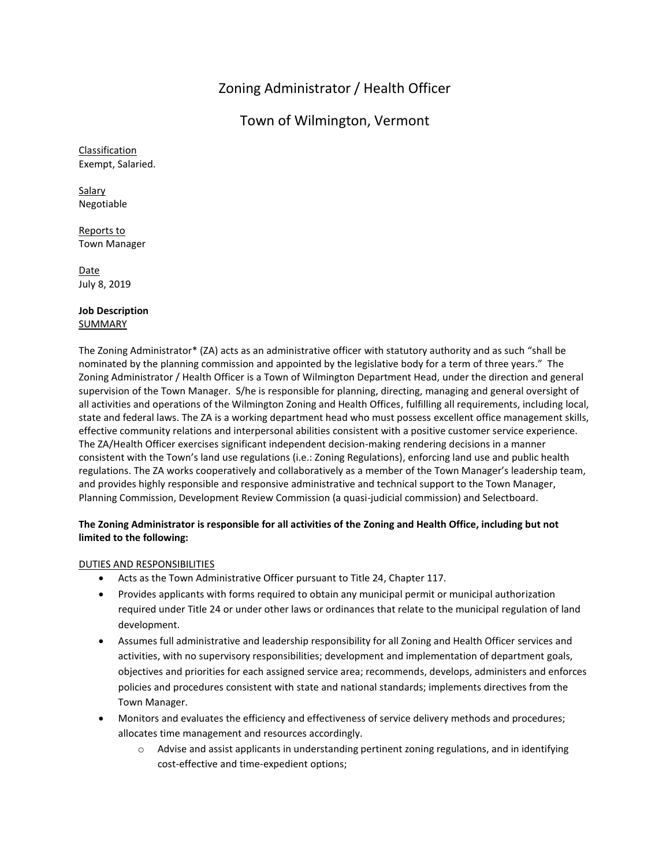# Zoning Administrator / Health Officer

## Town of Wilmington, Vermont

Classification Exempt, Salaried.

**Salary** Negotiable

Reports to Town Manager

Date July 8, 2019

#### **Job Description** SUMMARY

The Zoning Administrator\* (ZA) acts as an administrative officer with statutory authority and as such "shall be nominated by the planning commission and appointed by the legislative body for a term of three years." The Zoning Administrator / Health Officer is a Town of Wilmington Department Head, under the direction and general supervision of the Town Manager. S/he is responsible for planning, directing, managing and general oversight of all activities and operations of the Wilmington Zoning and Health Offices, fulfilling all requirements, including local, state and federal laws. The ZA is a working department head who must possess excellent office management skills, effective community relations and interpersonal abilities consistent with a positive customer service experience. The ZA/Health Officer exercises significant independent decision-making rendering decisions in a manner consistent with the Town's land use regulations (i.e.: Zoning Regulations), enforcing land use and public health regulations. The ZA works cooperatively and collaboratively as a member of the Town Manager's leadership team, and provides highly responsible and responsive administrative and technical support to the Town Manager, Planning Commission, Development Review Commission (a quasi-judicial commission) and Selectboard.

## **The Zoning Administrator is responsible for all activities of the Zoning and Health Office, including but not limited to the following:**

## DUTIES AND RESPONSIBILITIES

- Acts as the Town Administrative Officer pursuant to Title 24, Chapter 117.
- Provides applicants with forms required to obtain any municipal permit or municipal authorization required under Title 24 or under other laws or ordinances that relate to the municipal regulation of land development.
- Assumes full administrative and leadership responsibility for all Zoning and Health Officer services and activities, with no supervisory responsibilities; development and implementation of department goals, objectives and priorities for each assigned service area; recommends, develops, administers and enforces policies and procedures consistent with state and national standards; implements directives from the Town Manager.
- Monitors and evaluates the efficiency and effectiveness of service delivery methods and procedures; allocates time management and resources accordingly.
	- o Advise and assist applicants in understanding pertinent zoning regulations, and in identifying cost-effective and time-expedient options;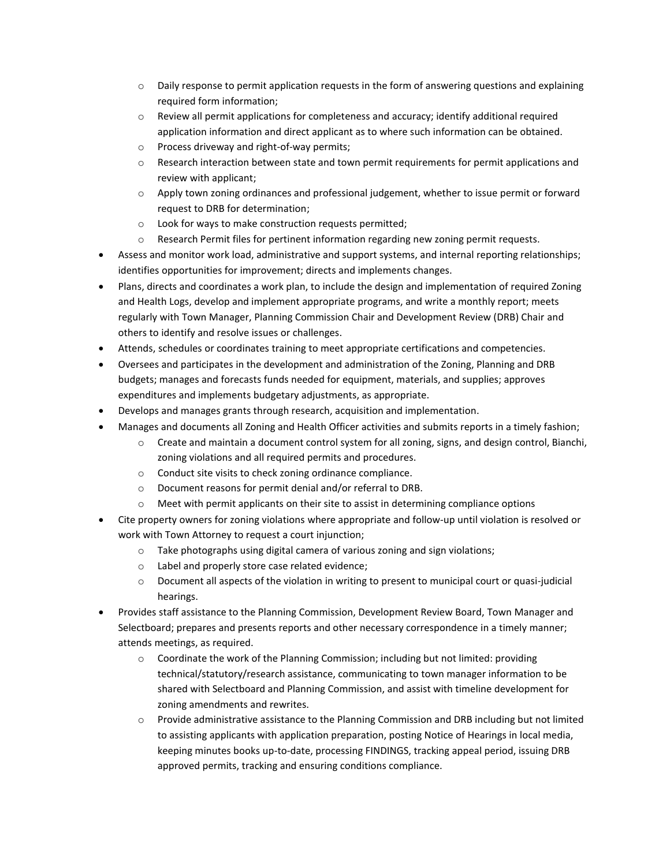- $\circ$  Daily response to permit application requests in the form of answering questions and explaining required form information;
- $\circ$  Review all permit applications for completeness and accuracy; identify additional required application information and direct applicant as to where such information can be obtained.
- o Process driveway and right-of-way permits;
- o Research interaction between state and town permit requirements for permit applications and review with applicant;
- o Apply town zoning ordinances and professional judgement, whether to issue permit or forward request to DRB for determination;
- o Look for ways to make construction requests permitted;
- $\circ$  Research Permit files for pertinent information regarding new zoning permit requests.
- Assess and monitor work load, administrative and support systems, and internal reporting relationships; identifies opportunities for improvement; directs and implements changes.
- Plans, directs and coordinates a work plan, to include the design and implementation of required Zoning and Health Logs, develop and implement appropriate programs, and write a monthly report; meets regularly with Town Manager, Planning Commission Chair and Development Review (DRB) Chair and others to identify and resolve issues or challenges.
- Attends, schedules or coordinates training to meet appropriate certifications and competencies.
- Oversees and participates in the development and administration of the Zoning, Planning and DRB budgets; manages and forecasts funds needed for equipment, materials, and supplies; approves expenditures and implements budgetary adjustments, as appropriate.
- Develops and manages grants through research, acquisition and implementation.
- Manages and documents all Zoning and Health Officer activities and submits reports in a timely fashion;
	- $\circ$  Create and maintain a document control system for all zoning, signs, and design control, Bianchi, zoning violations and all required permits and procedures.
	- o Conduct site visits to check zoning ordinance compliance.
	- o Document reasons for permit denial and/or referral to DRB.
	- o Meet with permit applicants on their site to assist in determining compliance options
- Cite property owners for zoning violations where appropriate and follow-up until violation is resolved or work with Town Attorney to request a court injunction;
	- $\circ$  Take photographs using digital camera of various zoning and sign violations;
	- o Label and properly store case related evidence;
	- o Document all aspects of the violation in writing to present to municipal court or quasi-judicial hearings.
- Provides staff assistance to the Planning Commission, Development Review Board, Town Manager and Selectboard; prepares and presents reports and other necessary correspondence in a timely manner; attends meetings, as required.
	- $\circ$  Coordinate the work of the Planning Commission; including but not limited: providing technical/statutory/research assistance, communicating to town manager information to be shared with Selectboard and Planning Commission, and assist with timeline development for zoning amendments and rewrites.
	- o Provide administrative assistance to the Planning Commission and DRB including but not limited to assisting applicants with application preparation, posting Notice of Hearings in local media, keeping minutes books up-to-date, processing FINDINGS, tracking appeal period, issuing DRB approved permits, tracking and ensuring conditions compliance.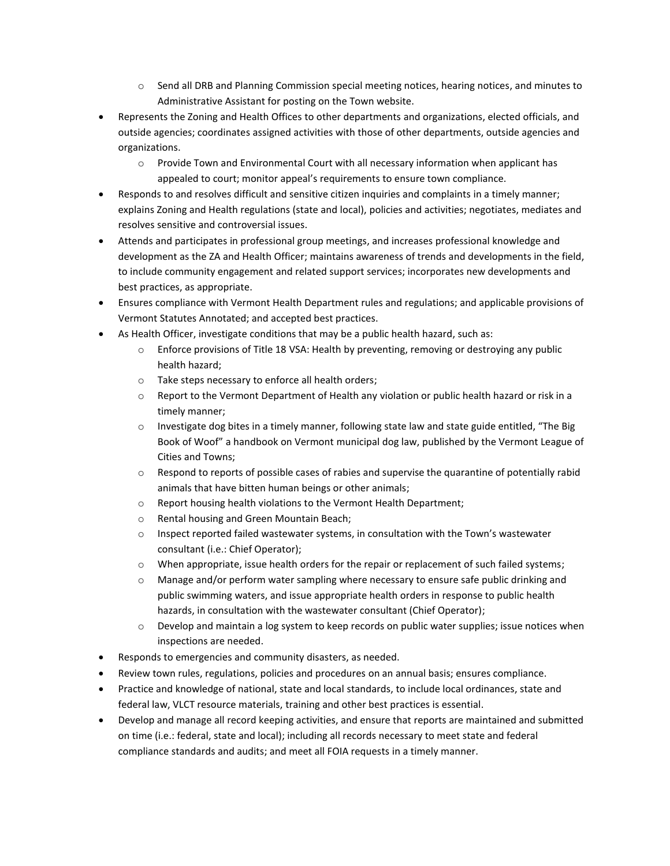- $\circ$  Send all DRB and Planning Commission special meeting notices, hearing notices, and minutes to Administrative Assistant for posting on the Town website.
- Represents the Zoning and Health Offices to other departments and organizations, elected officials, and outside agencies; coordinates assigned activities with those of other departments, outside agencies and organizations.
	- o Provide Town and Environmental Court with all necessary information when applicant has appealed to court; monitor appeal's requirements to ensure town compliance.
- Responds to and resolves difficult and sensitive citizen inquiries and complaints in a timely manner; explains Zoning and Health regulations (state and local), policies and activities; negotiates, mediates and resolves sensitive and controversial issues.
- Attends and participates in professional group meetings, and increases professional knowledge and development as the ZA and Health Officer; maintains awareness of trends and developments in the field, to include community engagement and related support services; incorporates new developments and best practices, as appropriate.
- Ensures compliance with Vermont Health Department rules and regulations; and applicable provisions of Vermont Statutes Annotated; and accepted best practices.
- As Health Officer, investigate conditions that may be a public health hazard, such as:
	- o Enforce provisions of Title 18 VSA: Health by preventing, removing or destroying any public health hazard;
	- o Take steps necessary to enforce all health orders;
	- o Report to the Vermont Department of Health any violation or public health hazard or risk in a timely manner;
	- $\circ$  Investigate dog bites in a timely manner, following state law and state guide entitled, "The Big Book of Woof" a handbook on Vermont municipal dog law, published by the Vermont League of Cities and Towns;
	- $\circ$  Respond to reports of possible cases of rabies and supervise the quarantine of potentially rabid animals that have bitten human beings or other animals;
	- o Report housing health violations to the Vermont Health Department;
	- o Rental housing and Green Mountain Beach;
	- o Inspect reported failed wastewater systems, in consultation with the Town's wastewater consultant (i.e.: Chief Operator);
	- o When appropriate, issue health orders for the repair or replacement of such failed systems;
	- $\circ$  Manage and/or perform water sampling where necessary to ensure safe public drinking and public swimming waters, and issue appropriate health orders in response to public health hazards, in consultation with the wastewater consultant (Chief Operator);
	- o Develop and maintain a log system to keep records on public water supplies; issue notices when inspections are needed.
- Responds to emergencies and community disasters, as needed.
- Review town rules, regulations, policies and procedures on an annual basis; ensures compliance.
- Practice and knowledge of national, state and local standards, to include local ordinances, state and federal law, VLCT resource materials, training and other best practices is essential.
- Develop and manage all record keeping activities, and ensure that reports are maintained and submitted on time (i.e.: federal, state and local); including all records necessary to meet state and federal compliance standards and audits; and meet all FOIA requests in a timely manner.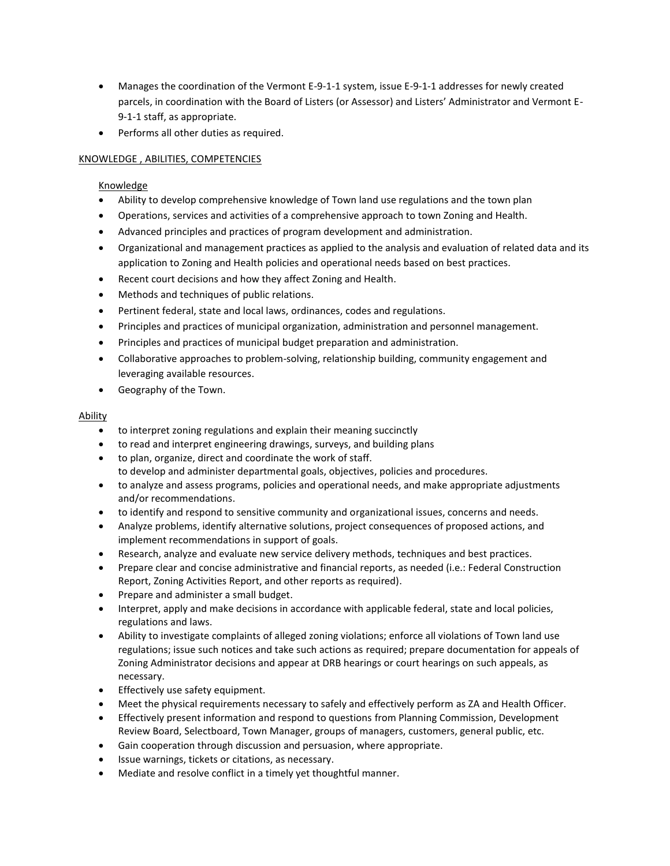- Manages the coordination of the Vermont E-9-1-1 system, issue E-9-1-1 addresses for newly created parcels, in coordination with the Board of Listers (or Assessor) and Listers' Administrator and Vermont E-9-1-1 staff, as appropriate.
- Performs all other duties as required.

## KNOWLEDGE , ABILITIES, COMPETENCIES

## Knowledge

- Ability to develop comprehensive knowledge of Town land use regulations and the town plan
- Operations, services and activities of a comprehensive approach to town Zoning and Health.
- Advanced principles and practices of program development and administration.
- Organizational and management practices as applied to the analysis and evaluation of related data and its application to Zoning and Health policies and operational needs based on best practices.
- Recent court decisions and how they affect Zoning and Health.
- Methods and techniques of public relations.
- Pertinent federal, state and local laws, ordinances, codes and regulations.
- Principles and practices of municipal organization, administration and personnel management.
- Principles and practices of municipal budget preparation and administration.
- Collaborative approaches to problem-solving, relationship building, community engagement and leveraging available resources.
- Geography of the Town.

#### Ability

- to interpret zoning regulations and explain their meaning succinctly
- to read and interpret engineering drawings, surveys, and building plans
- to plan, organize, direct and coordinate the work of staff. to develop and administer departmental goals, objectives, policies and procedures.
- to analyze and assess programs, policies and operational needs, and make appropriate adjustments and/or recommendations.
- to identify and respond to sensitive community and organizational issues, concerns and needs.
- Analyze problems, identify alternative solutions, project consequences of proposed actions, and implement recommendations in support of goals.
- Research, analyze and evaluate new service delivery methods, techniques and best practices.
- Prepare clear and concise administrative and financial reports, as needed (i.e.: Federal Construction Report, Zoning Activities Report, and other reports as required).
- Prepare and administer a small budget.
- Interpret, apply and make decisions in accordance with applicable federal, state and local policies, regulations and laws.
- Ability to investigate complaints of alleged zoning violations; enforce all violations of Town land use regulations; issue such notices and take such actions as required; prepare documentation for appeals of Zoning Administrator decisions and appear at DRB hearings or court hearings on such appeals, as necessary.
- Effectively use safety equipment.
- Meet the physical requirements necessary to safely and effectively perform as ZA and Health Officer.
- Effectively present information and respond to questions from Planning Commission, Development Review Board, Selectboard, Town Manager, groups of managers, customers, general public, etc.
- Gain cooperation through discussion and persuasion, where appropriate.
- Issue warnings, tickets or citations, as necessary.
- Mediate and resolve conflict in a timely yet thoughtful manner.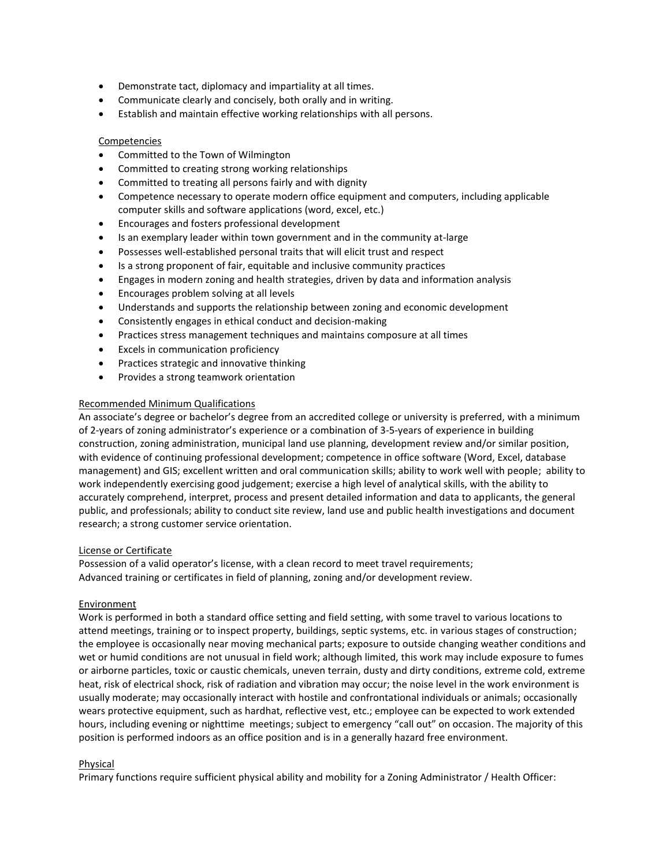- Demonstrate tact, diplomacy and impartiality at all times.
- Communicate clearly and concisely, both orally and in writing.
- Establish and maintain effective working relationships with all persons.

#### Competencies

- Committed to the Town of Wilmington
- Committed to creating strong working relationships
- Committed to treating all persons fairly and with dignity
- Competence necessary to operate modern office equipment and computers, including applicable computer skills and software applications (word, excel, etc.)
- Encourages and fosters professional development
- Is an exemplary leader within town government and in the community at-large
- Possesses well-established personal traits that will elicit trust and respect
- Is a strong proponent of fair, equitable and inclusive community practices
- Engages in modern zoning and health strategies, driven by data and information analysis
- Encourages problem solving at all levels
- Understands and supports the relationship between zoning and economic development
- Consistently engages in ethical conduct and decision-making
- Practices stress management techniques and maintains composure at all times
- **Excels in communication proficiency**
- Practices strategic and innovative thinking
- Provides a strong teamwork orientation

#### Recommended Minimum Qualifications

An associate's degree or bachelor's degree from an accredited college or university is preferred, with a minimum of 2-years of zoning administrator's experience or a combination of 3-5-years of experience in building construction, zoning administration, municipal land use planning, development review and/or similar position, with evidence of continuing professional development; competence in office software (Word, Excel, database management) and GIS; excellent written and oral communication skills; ability to work well with people; ability to work independently exercising good judgement; exercise a high level of analytical skills, with the ability to accurately comprehend, interpret, process and present detailed information and data to applicants, the general public, and professionals; ability to conduct site review, land use and public health investigations and document research; a strong customer service orientation.

#### License or Certificate

Possession of a valid operator's license, with a clean record to meet travel requirements; Advanced training or certificates in field of planning, zoning and/or development review.

#### Environment

Work is performed in both a standard office setting and field setting, with some travel to various locations to attend meetings, training or to inspect property, buildings, septic systems, etc. in various stages of construction; the employee is occasionally near moving mechanical parts; exposure to outside changing weather conditions and wet or humid conditions are not unusual in field work; although limited, this work may include exposure to fumes or airborne particles, toxic or caustic chemicals, uneven terrain, dusty and dirty conditions, extreme cold, extreme heat, risk of electrical shock, risk of radiation and vibration may occur; the noise level in the work environment is usually moderate; may occasionally interact with hostile and confrontational individuals or animals; occasionally wears protective equipment, such as hardhat, reflective vest, etc.; employee can be expected to work extended hours, including evening or nighttime meetings; subject to emergency "call out" on occasion. The majority of this position is performed indoors as an office position and is in a generally hazard free environment.

#### Physical

Primary functions require sufficient physical ability and mobility for a Zoning Administrator / Health Officer: